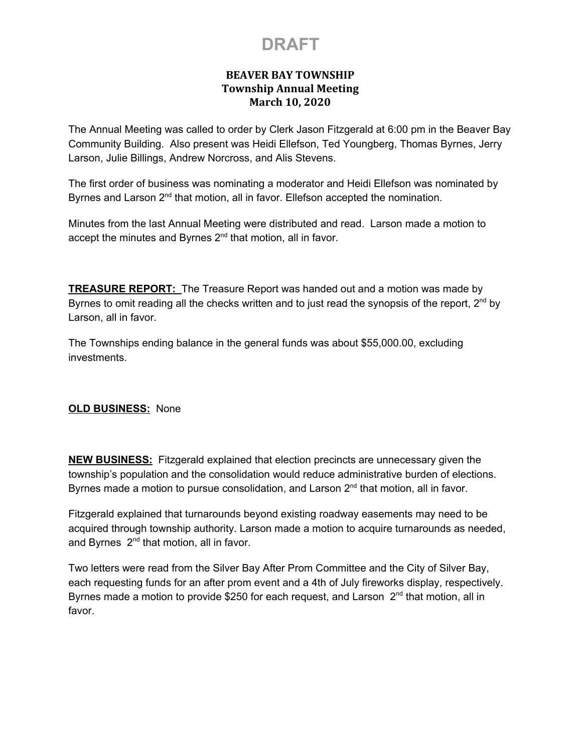### **BEAVER BAY TOWNSHIP Township Annual Meeting March 10, 2020**

The Annual Meeting was called to order by Clerk Jason Fitzgerald at 6:00 pm in the Beaver Bay Community Building. Also present was Heidi Ellefson, Ted Youngberg, Thomas Byrnes, Jerry Larson, Julie Billings, Andrew Norcross, and Alis Stevens.

The first order of business was nominating a moderator and Heidi Ellefson was nominated by Byrnes and Larson 2<sup>nd</sup> that motion, all in favor. Ellefson accepted the nomination.

Minutes from the last Annual Meeting were distributed and read. Larson made a motion to accept the minutes and Byrnes  $2<sup>nd</sup>$  that motion, all in favor.

**TREASURE REPORT:** The Treasure Report was handed out and a motion was made by Byrnes to omit reading all the checks written and to just read the synopsis of the report,  $2^{nd}$  by Larson, all in favor.

The Townships ending balance in the general funds was about \$55,000.00, excluding investments.

#### **OLD BUSINESS:** None

**NEW BUSINESS:** Fitzgerald explained that election precincts are unnecessary given the township's population and the consolidation would reduce administrative burden of elections. Byrnes made a motion to pursue consolidation, and Larson  $2<sup>nd</sup>$  that motion, all in favor.

Fitzgerald explained that turnarounds beyond existing roadway easements may need to be acquired through township authority. Larson made a motion to acquire turnarounds as needed, and Byrnes 2<sup>nd</sup> that motion, all in favor.

Two letters were read from the Silver Bay After Prom Committee and the City of Silver Bay, each requesting funds for an after prom event and a 4th of July fireworks display, respectively. Byrnes made a motion to provide \$250 for each request, and Larson 2<sup>nd</sup> that motion, all in favor.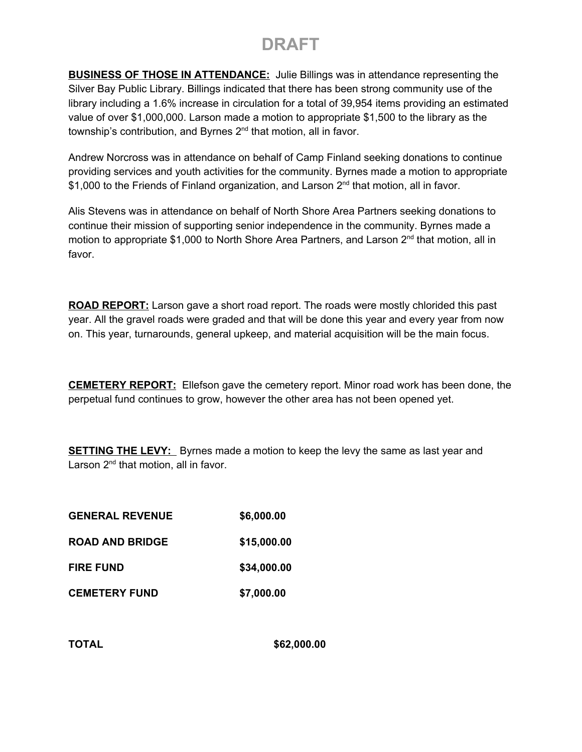**BUSINESS OF THOSE IN ATTENDANCE:** Julie Billings was in attendance representing the Silver Bay Public Library. Billings indicated that there has been strong community use of the library including a 1.6% increase in circulation for a total of 39,954 items providing an estimated value of over \$1,000,000. Larson made a motion to appropriate \$1,500 to the library as the township's contribution, and Byrnes 2<sup>nd</sup> that motion, all in favor.

Andrew Norcross was in attendance on behalf of Camp Finland seeking donations to continue providing services and youth activities for the community. Byrnes made a motion to appropriate \$1,000 to the Friends of Finland organization, and Larson 2<sup>nd</sup> that motion, all in favor.

Alis Stevens was in attendance on behalf of North Shore Area Partners seeking donations to continue their mission of supporting senior independence in the community. Byrnes made a motion to appropriate \$1,000 to North Shore Area Partners, and Larson 2<sup>nd</sup> that motion, all in favor.

**ROAD REPORT:** Larson gave a short road report. The roads were mostly chlorided this past year. All the gravel roads were graded and that will be done this year and every year from now on. This year, turnarounds, general upkeep, and material acquisition will be the main focus.

**CEMETERY REPORT:** Ellefson gave the cemetery report. Minor road work has been done, the perpetual fund continues to grow, however the other area has not been opened yet.

**SETTING THE LEVY:** Byrnes made a motion to keep the levy the same as last year and Larson 2<sup>nd</sup> that motion, all in favor.

- **GENERAL REVENUE \$6,000.00**
- **ROAD AND BRIDGE \$15,000.00**
- **FIRE FUND \$34,000.00**
- **CEMETERY FUND \$7,000.00**

**TOTAL \$62,000.00**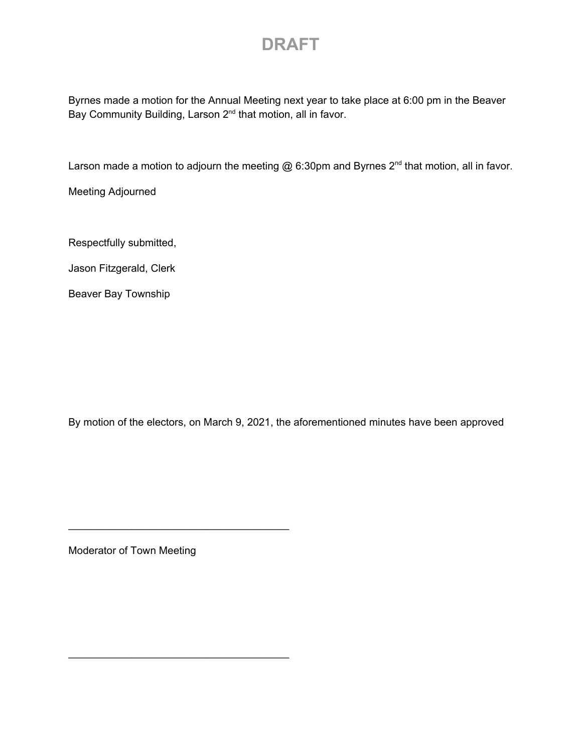Byrnes made a motion for the Annual Meeting next year to take place at 6:00 pm in the Beaver Bay Community Building, Larson 2<sup>nd</sup> that motion, all in favor.

Larson made a motion to adjourn the meeting  $@$  6:30pm and Byrnes 2<sup>nd</sup> that motion, all in favor.

Meeting Adjourned

Respectfully submitted,

Jason Fitzgerald, Clerk

Beaver Bay Township

By motion of the electors, on March 9, 2021, the aforementioned minutes have been approved

Moderator of Town Meeting

\_\_\_\_\_\_\_\_\_\_\_\_\_\_\_\_\_\_\_\_\_\_\_\_\_\_\_\_\_\_\_\_\_\_\_\_\_\_

\_\_\_\_\_\_\_\_\_\_\_\_\_\_\_\_\_\_\_\_\_\_\_\_\_\_\_\_\_\_\_\_\_\_\_\_\_\_